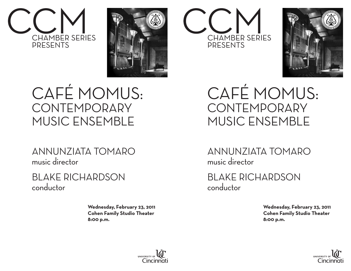



## CAFÉ MOMUS: **CONTEMPORARY** MUSIC ENSEMBLE

ANNUNZIATA TOMARO music director

BLAKE RICHARDSON conductor

> **Wednesday, February 23, 2011 Cohen Family Studio Theater 8:00 p.m.**